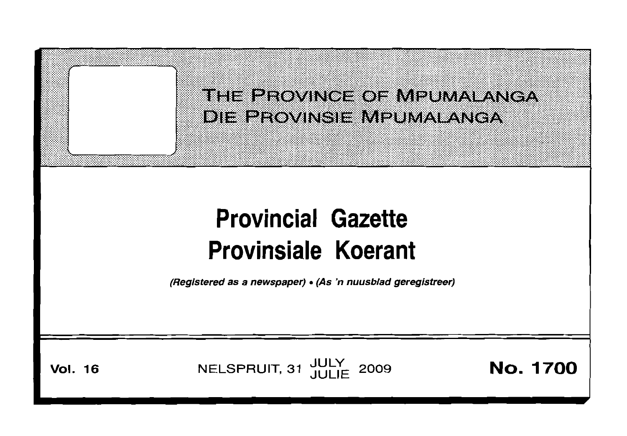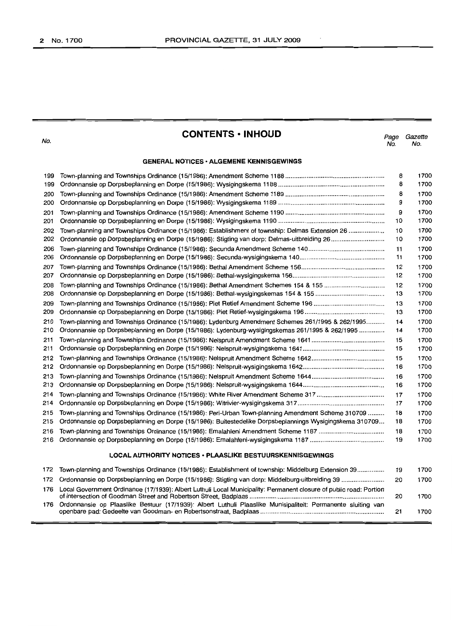$\,$  .

No.

# **CONTENTS • INHOUD**

Page Gazette No. No.

# **GENERAL NOTICES· ALGEMENE KENNISGEWINGS**

| 199                                                       |                                                                                                                    | 8  | 1700 |  |  |
|-----------------------------------------------------------|--------------------------------------------------------------------------------------------------------------------|----|------|--|--|
| 199                                                       |                                                                                                                    | 8  | 1700 |  |  |
| 200                                                       |                                                                                                                    | 8  | 1700 |  |  |
| 200                                                       |                                                                                                                    | 9  | 1700 |  |  |
| 201                                                       |                                                                                                                    | 9  | 1700 |  |  |
| 201                                                       |                                                                                                                    | 10 | 1700 |  |  |
| 202                                                       | Town-planning and Townships Ordinance (15/1986): Establishment of township: Delmas Extension 26                    | 10 | 1700 |  |  |
| 202                                                       |                                                                                                                    | 10 | 1700 |  |  |
| 206                                                       |                                                                                                                    | 11 | 1700 |  |  |
| 206                                                       |                                                                                                                    | 11 | 1700 |  |  |
| 207                                                       |                                                                                                                    | 12 | 1700 |  |  |
| 207                                                       |                                                                                                                    | 12 | 1700 |  |  |
| 208                                                       |                                                                                                                    | 12 | 1700 |  |  |
| 208                                                       |                                                                                                                    | 13 | 1700 |  |  |
| 209                                                       |                                                                                                                    | 13 | 1700 |  |  |
| 209                                                       |                                                                                                                    | 13 | 1700 |  |  |
| 210                                                       | Town-planning and Townships Ordinance (15/1986): Lydenburg Amendment Schemes 261/1995 & 262/1995                   | 14 | 1700 |  |  |
| 210                                                       | Ordonnansie op Dorpsbeplanning en Dorpe (15/1986): Lydenburg-wysigingskemas 261/1995 & 262/1995                    | 14 | 1700 |  |  |
| 211                                                       |                                                                                                                    | 15 | 1700 |  |  |
| 211                                                       |                                                                                                                    | 15 | 1700 |  |  |
| 212                                                       |                                                                                                                    | 15 | 1700 |  |  |
| 212                                                       |                                                                                                                    | 16 | 1700 |  |  |
| 213                                                       |                                                                                                                    | 16 | 1700 |  |  |
| 213                                                       |                                                                                                                    | 16 | 1700 |  |  |
| 214                                                       |                                                                                                                    | 17 | 1700 |  |  |
| 214                                                       |                                                                                                                    | 17 | 1700 |  |  |
| 215                                                       | Town-planning and Townships Ordinance (15/1986): Peri-Urban Town-planning Amendment Scheme 310709                  | 18 | 1700 |  |  |
| 215                                                       | Ordonnansie op Dorpsbeplanning en Dorpe (15/1986): Buitestedelike Dorpsbeplannings Wysigingskema 310709            | 18 | 1700 |  |  |
| 216                                                       |                                                                                                                    | 18 | 1700 |  |  |
| 216                                                       |                                                                                                                    | 19 | 1700 |  |  |
| LOCAL AUTHORITY NOTICES . PLAASLIKE BESTUURSKENNISGEWINGS |                                                                                                                    |    |      |  |  |
| 172                                                       | Town-planning and Townships Ordinance (15/1986): Establishment of township: Middelburg Extension 39                | 19 | 1700 |  |  |
| 172                                                       | Ordonnansie op Dorpsbeplanning en Dorpe (15/1986): Stigting van dorp: Middelburg-uitbreiding 39                    | 20 | 1700 |  |  |
| 176                                                       | Local Government Ordinance (17/1939): Albert Luthuli Local Municipality: Permanent closure of public road: Portion |    |      |  |  |
|                                                           |                                                                                                                    | 20 | 1700 |  |  |
| 176                                                       | Ordonnansie op Plaaslike Bestuur (17/1939): Albert Luthuli Plaaslike Munisipaliteit: Permanente sluiting van       | 21 | 1700 |  |  |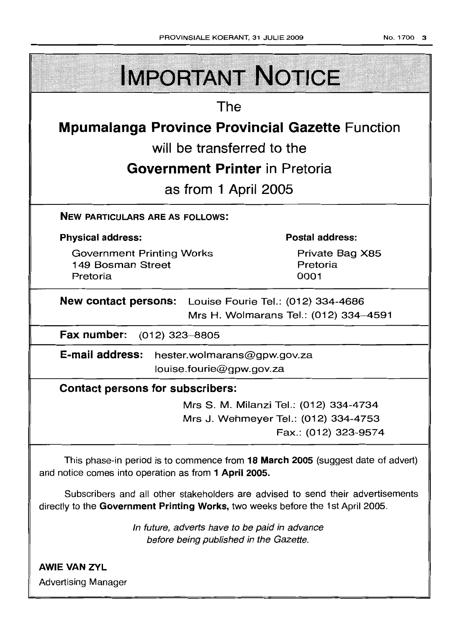| <b>IMPORTANT NOTICE</b>                                                                                                                                            |  |                                                                                                        |  |  |  |
|--------------------------------------------------------------------------------------------------------------------------------------------------------------------|--|--------------------------------------------------------------------------------------------------------|--|--|--|
| The                                                                                                                                                                |  |                                                                                                        |  |  |  |
| <b>Mpumalanga Province Provincial Gazette Function</b>                                                                                                             |  |                                                                                                        |  |  |  |
| will be transferred to the                                                                                                                                         |  |                                                                                                        |  |  |  |
| <b>Government Printer</b> in Pretoria                                                                                                                              |  |                                                                                                        |  |  |  |
| as from 1 April 2005                                                                                                                                               |  |                                                                                                        |  |  |  |
| <b>NEW PARTICULARS ARE AS FOLLOWS:</b>                                                                                                                             |  |                                                                                                        |  |  |  |
| <b>Physical address:</b>                                                                                                                                           |  | <b>Postal address:</b>                                                                                 |  |  |  |
| <b>Government Printing Works</b><br>149 Bosman Street<br>Pretoria                                                                                                  |  | Private Bag X85<br>Pretoria<br>0001                                                                    |  |  |  |
| New contact persons: Louise Fourie Tel.: (012) 334-4686<br>Mrs H. Wolmarans Tel.: (012) 334-4591                                                                   |  |                                                                                                        |  |  |  |
| Fax number:<br>(012) 323–8805                                                                                                                                      |  |                                                                                                        |  |  |  |
| E-mail address: hester.wolmarans@gpw.gov.za                                                                                                                        |  | louise.fourie@gpw.gov.za                                                                               |  |  |  |
| <b>Contact persons for subscribers:</b>                                                                                                                            |  |                                                                                                        |  |  |  |
|                                                                                                                                                                    |  | Mrs S. M. Milanzi Tel.: (012) 334-4734<br>Mrs J. Wehmeyer Tel.: (012) 334-4753<br>Fax.: (012) 323-9574 |  |  |  |
| This phase-in period is to commence from 18 March 2005 (suggest date of advert)<br>and notice comes into operation as from 1 April 2005.                           |  |                                                                                                        |  |  |  |
| Subscribers and all other stakeholders are advised to send their advertisements<br>directly to the Government Printing Works, two weeks before the 1st April 2005. |  |                                                                                                        |  |  |  |
| In future, adverts have to be paid in advance<br>before being published in the Gazette.                                                                            |  |                                                                                                        |  |  |  |
| <b>AWIE VAN ZYL</b>                                                                                                                                                |  |                                                                                                        |  |  |  |

Advertising Manager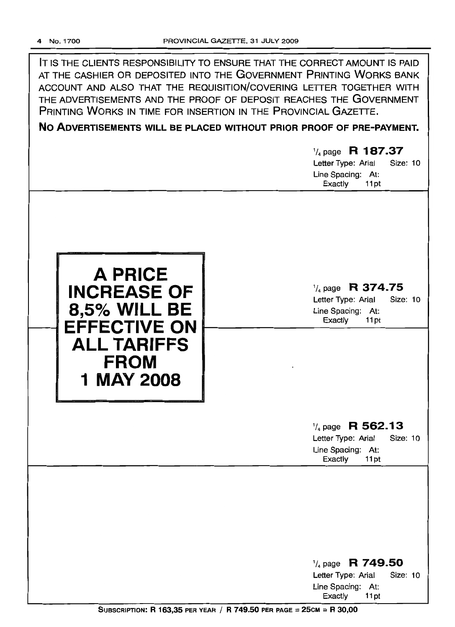| IT IS THE CLIENTS RESPONSIBILITY TO ENSURE THAT THE CORRECT AMOUNT IS PAID |
|----------------------------------------------------------------------------|
| AT THE CASHIER OR DEPOSITED INTO THE GOVERNMENT PRINTING WORKS BANK        |
| ACCOUNT AND ALSO THAT THE REQUISITION/COVERING LETTER TOGETHER WITH        |
| THE ADVERTISEMENTS AND THE PROOF OF DEPOSIT REACHES THE GOVERNMENT         |
| PRINTING WORKS IN TIME FOR INSERTION IN THE PROVINCIAL GAZETTE.            |
|                                                                            |

**No ADVERTISEMENTS WILL BE PLACED WITHOUT PRIOR PROOF OF PRE-PAYMENT.**

# '/4 page **R 187.37** Letter Type: Arial Size: 10 Line Spacing: At: Exactly 11 pt **A PRICE INCREASE OF 8,5% WILL BE**  $\leftarrow$  <code>TefFECTIVE</code> ON **ALL TARIFFS FROM 1 MAY 2008** '/4 page **R 374.75** Letter Type: Arial Size: 10 Line Spacing: At: Exactly 11 pt '/4 page **R 562.13** Letter Type: Arial Size: 10 Line Spacing: At: Exactly 11 pt

'/4 page R **749.50** Letter Type: Arial Size: 10 Line Spacing: At: Exactly 11 pt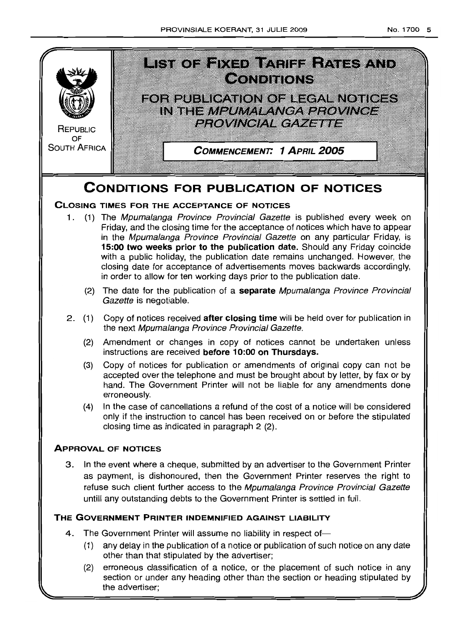

as payment, is dishonoured, then the Government Printer reserves the right to refuse such client further access to the Mpumalanga Province Provincial Gazette untill any outstanding debts to the Government Printer is settied in fuii

# **THE GOVERNMENT PRINTER INDEMNIFIED AGAINST LIABILITY**

- 4. The Government Printer will assume no liability in respect of-
	- (1) any delay in the publication of a notice or publication of such notice on any date other than that stipulated by the advertiser;
	- (2) erroneous classification of a notice, or the placement of such notice in any section or under any heading other than the section or heading stipulated by the advertiser;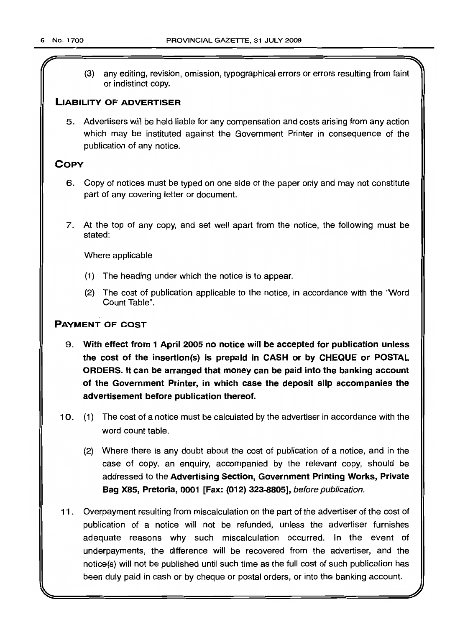(3) any editing, revision, omission, typographical errors or errors resulting from faint or indistinct copy.

# LIABILITY OF ADVERTISER

5. Advertisers will be held liable for any compensation and costs arising from any action which may be instituted against the Government Printer in consequence of the publication of any notice.

# **COPY**

- 6. Copy of notices must be typed on one side of the paper only and may not constitute part of any covering letter or document.
- 7. At the top of any copy, and set well apart from the notice, the following must be stated:

Where applicable

- (1) The heading under which the notice is to appear.
- (2) The cost of publication applicable to the notice, in accordance with the "Word Count Table".

# PAYMENT OF COST

- 9. With effect from 1 April 2005 no notice will be accepted for publication unless the cost of the insertion(s) is prepaid in CASH or by CHEQUE or POSTAL ORDERS. It can be arranged that money can be paid into the banking account of the Government Printer, in which case the deposit slip accompanies the advertisement before publication thereof.
- 10. (1) The cost of a notice must be calculated by the advertiser in accordance with the word count table.
	- (2) Where there is any doubt about the cost of publication of a notice, and in the case of copy, an enquiry, accompanied by the relevant copy, should be addressed to the Advertising Section, Government Printing Works, Private Bag X85, Pretoria, 0001 [Fax: (012) 323-8805], before publication.
- 11 . Overpayment resulting from miscalculation on the part of the advertiser of the cost of publication of a notice will not be refunded, unless the advertiser furnishes adequate reasons why such miscalculation occurred. In the event of underpayments, the difference will be recovered from the advertiser, and the notice(s) will not be published until such time as the full cost of such publication has been duly paid in cash or by cheque or postal orders, or into the banking account.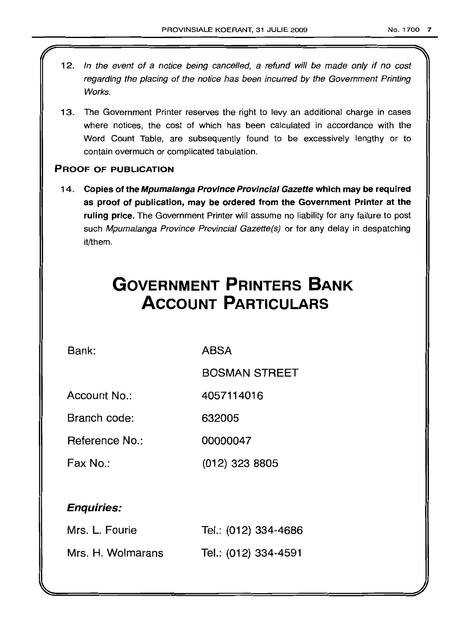- 12. In the event of a notice being cancelled, a refund will be made only if no cost regarding the placing of the notice has been incurred by the Government Printing Works.
- 13. The Government Printer reserves the right to levy an additional charge in cases where notices, the cost of which has been calculated in accordance with the Word Count Table, are subsequently found to be excessively lengthy or to contain overmuch or complicated tabulation.

# PROOF OF PUBLICATION

14. Copies of the Mpumalanga Province Provincial Gazette which may be required as proof of publication, may be ordered from the Government Printer at the ruling price. The Government Printer will assume no liability for any failure to post such Mpumalanga Province Provincial Gazette(s) or for any delay in despatching it/them.

# **GOVERNMENT PRINTERS BANK ACCOUNT PARTICULARS**

Bank: ABSA

BOSMAN STREET

Account No.: 4057114016

Branch code: 632005

Reference No.: 00000047

Fax No.: (012) 323 8805

# Enquiries:

| Mrs. L. Fourie    | Tel.: (012) 334-4686 |
|-------------------|----------------------|
| Mrs. H. Wolmarans | Tel.: (012) 334-4591 |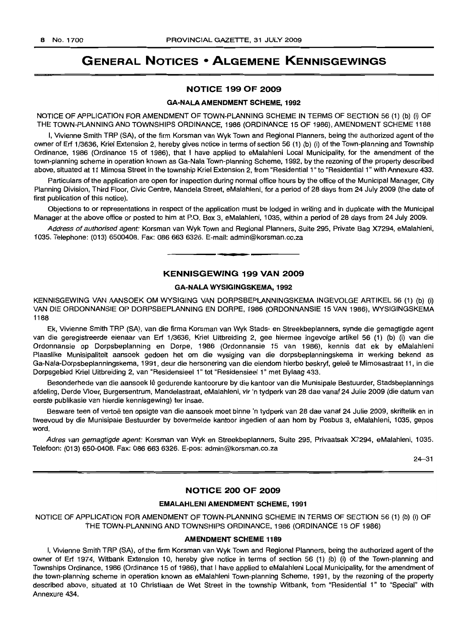# **GENERAL NOTICES • ALGEMENE KENNISGEWINGS**

# **NOTICE 199 OF 2009**

#### **GA-NALAAMENDMENT SCHEME, 1992**

NOTICE OF APPLICATION FOR AMENDMENT OF TOWN-PLANNING SCHEME IN TERMS OF SECTION 56 (1) (b) (i) OF THE TOWN-PLANNING AND TOWNSHIPS ORDINANCE, 1986 (ORDINANCE 15 OF 1986), AMENDMENT SCHEME 1188

I, Vivienne Smith TRP (SA), of the firm Korsman van Wyk Town and Regional Planners, being the authorized agent of the owner of Erf 1/3636, Kriel Extension 2, hereby gives notice in terms of section 56 (1) (b) (i) of the Town-planning and Township Ordinance, 1986 (Ordinance 15 of 1986), that I have applied to eMalahleni Local Municipality, for the amendment of the town-planning scheme in operation known as Ga-Nala Town-planning Scheme, 1992, by the rezoning of the property described above, situated at 11 Mimosa Street in the township Kriel Extension 2, from "Residential 1" to "Residential 1" with Annexure 433.

Particulars of the application are open for inspection during normal office hours by the office of the Municipal Manager, City Planning Division, Third Floor, Civic Centre, Mandela Street, eMalahleni, for a period of 28 days from 24 July 2009 (the date of first publication of this notice).

Objections to or representations in respect of the application must be lodged in writing and in duplicate with the Municipal Manager at the above office or posted to him at P.O. Box 3, eMalahleni, 1035, within a period of 28 days from 24 July 2009.

Address of authorised agent: Korsman van Wyk Town and Regional Planners, Suite 295, Private Bag X7294, eMalahleni, 1035. Telephone: (013) 6500408. Fax: 0866636326. E-mail: admin@korsman.co.za

# **KENNISGEWING 199 VAN 2009**

**E •**

# **GA-NALA WYSIGINGSKEMA, 1992**

KENNISGEWING VAN AANSOEK OM WYSIGING VAN DORPSBEPLANNINGSKEMA INGEVOLGE ARTIKEL 56 (1) (b) (i) VAN DIE ORDONNANSIE OP DORPSBEPLANNING EN DORPE, 1986 (ORDONNANSIE 15 VAN 1986), WYSIGINGSKEMA 1188

Ek, Vivienne Smith TRP (SA), van die firma Korsman van Wyk Stads- en Streekbeplanners, synde die gemagtigde agent van die geregistreerde eienaar van Erf 1/3636, Kriel Uitbreiding 2, gee hiermee ingevolge artikel 56 (1) (b) (i) van die Ordonnansie op Dorpsbeplanning en Dorpe, 1986 (Ordonnansie 15 van 1986), kennis dat ek by eMalahleni Plaaslike Munisipaliteit aansoek gedoen het om die wysiging van die dorpsbeplanningskema in werking bekend as Ga-Nala-Dorpsbeplanningskema, 1991, deur die hersonering van die eiendom hierbo beskryf, gelee te Mimosastraat 11, in die Dorpsgebied Kriel Uitbreiding 2, van "Residensieel 1" tot "Residensieel 1" met Bylaag 433.

Besonderhede van die aansoek Ie gedurende kantoorure by die kantoor van die Munisipale Bestuurder, Stadsbeplannings afdeling, Derde Vloer, Burgersentrum, Mandelastraat, eMalahleni, vir 'n tydperk van 28 dae vanaf 24 Julie 2009 (die datum van eerste publikasie van hierdie kennisgewing) ter insae.

Besware teen of vertoë ten opsigte van die aansoek moet binne 'n tydperk van 28 dae vanaf 24 Julie 2009, skriftelik en in tweevoud by die Munisipale Bestuurder by bovermelde kantoor ingedien of aan hom by Posbus 3, eMalahleni, 1035, gepos word.

Adres van gemagtigde agent: Korsman van Wyk en Streekbeplanners, Suite 295, Privaatsak X7294, eMalahleni, 1035. Telefoon: (013) 650-0408. Fax: 086 663 6326. E-pos: admin@korsman.co.za

24-31

# **NOTICE 200 OF 2009**

#### **EMALAHLENI AMENDMENT SCHEME, 1991**

NOTICE OF APPLICATION FOR AMENDMENT OF TOWN-PLANNING SCHEME IN TERMS OF SECTION 56 (1) (b) (i) OF THE TOWN-PLANNING AND TOWNSHIPS ORDINANCE, 1986 (ORDINANCE 15 OF 1986)

# **AMENDMENT SCHEME 1189**

I, Vivienne Smith TRP (SA), of the firm Korsman van Wyk Town and Regional Planners, being the authorized agent of the owner of Erf 1974, Witbank Extension 10, hereby give notice in terms of section 56 (1) (b) (i) of the Town-planning and Townships Ordinance, 1986 (Ordinance 15 of 1986), that I have applied to eMalahleni Local Municipality, for the amendment of the town-planning scheme in operation known as eMalahleni Town-planning Scheme, 1991, by the rezoning of the property described above, situated at 10 Christiaan de Wet Street in the township Witbank, from "Residential 1" to "Special" with Annexure 434.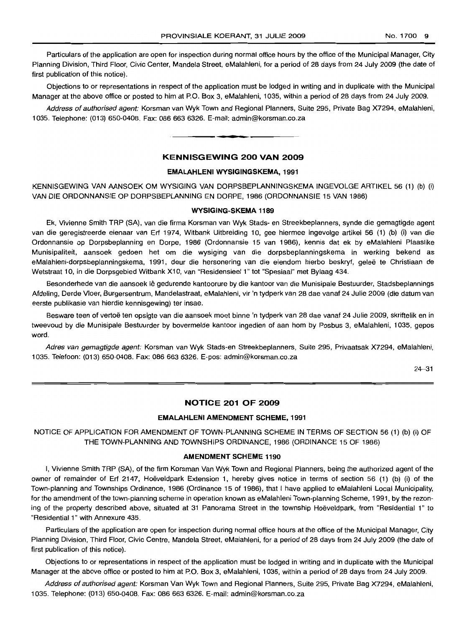Particulars of the application are open for inspection during normal office hours by the office of the Municipal Manager, City Planning Division, Third Floor, Civic Center, Mandela Street, eMalahleni, for a period of 28 days from 24 July 2009 (the date of first publication of this notice).

Objections to or representations in respect of the application must be lodged in writing and in duplicate with the Municipal Manager at the above office or posted to him at P.O. Box 3, eMalahleni, 1035, within a period of 28 days from 24 July 2009.

Address of authorised agent: Korsman van Wyk Town and Regional Planners, Suite 295, Private Bag X7294, eMalahleni, 1035. Telephone: (013) 650-0408. Fax: 086 663 6326. E-mail: admin@korsman.co.za

## **KENNISGEWING 200 VAN 2009**

**• •**

# **EMALAHLENI WYSIGINGSKEMA, 1991**

KENNISGEWING VAN AANSOEK OM WYSIGING VAN DORPSBEPLANNINGSKEMA INGEVOLGE ARTIKEL 56 (1) (b) (i) VAN DIE ORDONNANSIE OP DORPSBEPLANNING EN DORPE, 1986 (ORDONNANSIE 15 VAN 1986)

#### **WYSIGING·SKEMA 1189**

Ek, Vivienne Smith TRP (SA), van die firma Korsman van Wyk Stads- en Streekbeplanners, synde die gemagtigde agent van die geregistreerde eienaar van Erf 1974, Witbank Uitbreiding 10, gee hiermee ingevolge artikel 56 (1) (b) (i) van die Ordonnansie op Dorpsbeplanning en Dorpe, 1986 (Ordonnansie 15 van 1986), kennis dat ek by eMalahleni Plaaslike Munisipaliteit, aansoek gedoen het om die wysiging van die dorpsbeplanningskema in werking bekend as eMalahleni-dorpsbeplanningskema, 1991, deur die hersonering van die eiendom hierbo beskryf, geleë te Christiaan de Wetstraat 10, in die Dorpsgebied Witbank X10, van "Residensieel 1" tot "Spesiaal" met Bylaag 434.

Besonderhede van die aansoek Ie gedurende kantoorure by die kantoor van die Munisipale Bestuurder, Stadsbeplannings Afdelinq, Derde Vloer, Burgersentrum, Mandelastraat, eMalahleni, vir 'n tydperk van 28 dae vanaf 24 Julie 2009 (die datum van eerste publikasie van hierdie kennisgewing) ter insae.

Besware teen of vertoë ten opsigte van die aansoek moet binne 'n tydperk van 28 dae vanaf 24 Julie 2009, skriftelik en in tweevoud by die Munisipale Bestuurder by bovermelde kantoor ingedien of aan hom by Posbus 3, eMalahleni, 1035, gepos word.

Adres van gemagtigde agent: Korsman van Wyk Stads-en Streekbeplanners, Suite 295, Privaatsak X7294, eMalahleni, 1035. Telefoon: (013) 650-0408. Fax: 086 663 6326. E-pos: admin@korsman.co.za

24-31

# **NOTICE 201 OF 2009**

#### **EMALAHLENI AMENDMENT SCHEME, 1991**

NOTICE OF APPLICATION FOR AMENDMENT OF TOWN-PLANNING SCHEME IN TERMS OF SECTION 56 (1) (b) (i) OF THE TOWN-PLANNING AND TOWNSHIPS ORDINANCE, 1986 (ORDINANCE 15 OF 1986)

#### **AMENDMENT SCHEME 1190**

I, Vivienne Smith TRP (SA), of the firm Korsman Van Wyk Town and Regional Planners, being the authorized agent of the owner of remainder of Erf 2147, Hoeveldpark Extension 1, hereby gives notice in terms of section 56 (1) (b) (i) of the Town-planning and Townships Ordinance, 1986 (Ordinance 15 of 1986), that I have applied to eMalahleni Local Municipality, for the amendment of the town-planning scheme in operation known as eMalahleni Town-planning Scheme, 1991, by the rezoning of the property described above, situated at 31 Panorama Street in the township Hoeveldpark, from "Residential 1" to "Residential 1" with Annexure 435.

Particulars of the application are open for inspection during normal office hours at the office of the Municipal Manager, City Planning Division, Third Floor, Civic Centre, Mandela Street, eMalahleni, for a period of 28 days from 24 July 2009 (the date of first publication of this notice).

Objections to or representations in respect of the application must be lodged in writing and in duplicate with the Municipal Manager at the above office or posted to him at P.O. Box 3, eMalahleni, 1035, within a period of 28 days from 24 July 2009.

Address of authorised agent: Korsman Van Wyk Town and Regional Planners, Suite 295, Private Bag X7294, eMalahleni, 1035. Telephone: (013) 650-0408. Fax: 086 663 6326. E-mail: admin@korsman.co.za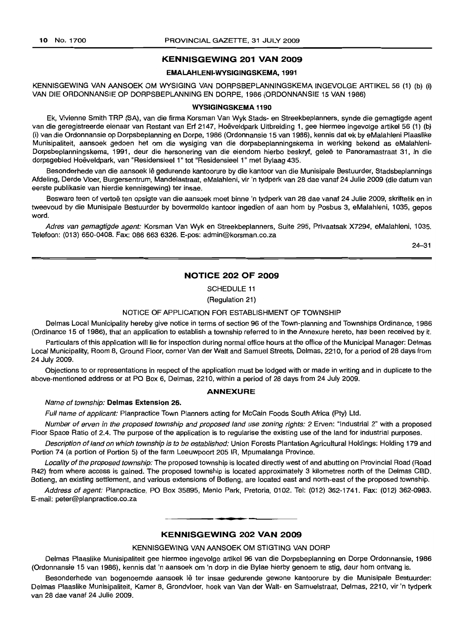# **KENNISGEWING 201 VAN 2009**

# **EMALAHLENI-WVSIGINGSKEMA,1991**

KENNISGEWING VAN AANSOEK OM WYSIGING VAN DORPSBEPLANNINGSKEMA INGEVOLGE ARTIKEL 56 (1) (b) (i) VAN DIE ORDONNANSIE OP DORPSBEPLANNING EN DORPE, 1986 (ORDONNANSIE 15 VAN 1986)

#### **WVSIGINGSKEMA 1190**

Ek, Vivienne Smith TRP (SA), van die firma Korsman Van Wyk Stads- en Streekbeplanners, synde die gemagtigde agent van die geregistreerde eienaar van Restant van Erf 2147, Hoëveldpark Uitbreiding 1, gee hiermee ingevolge artikel 56 (1) (b) (i) van die Ordonnansie op Dorpsbeplanning en Dorpe, 1986 (Ordonnansie 15 van 1986), kennis dat ek by eMalahleni Plaaslike Munisipaliteit, aansoek gedoen het om die wysiging van die dorpsbeplanningskema in werking bekend as eMalahleni-Dorpsbeplanningskema, 1991, deur die hersonering van die eiendom hierbo beskryf, geleë te Panoramastraat 31, in die dorpsgebied Hoeveldpark, van "Residensieel 1" tot "Residensieel 1" met Bylaag 435.

Besonderhede van die aansoek lê gedurende kantoorure by die kantoor van die Munisipale Bestuurder, Stadsbeplannings Afdeling, Derde Vloer, Burgersentrum, Mandelastraat, eMalahleni, vir 'n tydperk van 28 dae vanaf 24 Julie 2009 (die datum van eerste publikasie van hierdie kennisgewing) ter insae.

Besware teen of vertoë ten opsigte van die aansoek moet binne 'n tydperk van 28 dae vanaf 24 Julie 2009, skriftelik en in tweevoud by die Munisipale Bestuurder by bovermelde kantoor ingedien of aan hom by Posbus 3, eMalahleni, 1035, gepos word.

Adres van gemagtigde agent: Korsman Van Wyk en Streekbeplanners, Suite 295, Privaatsak X7294, eMalahleni, 1035. Telefoon: (013) 650-0408. Fax: 086 663 6326. E-pos: admin@korsman.co.za

24-31

# **NOTICE 202 OF 2009**

SCHEDULE 11

(Regulation 21)

#### NOTICE OF APPLICATION FOR ESTABLISHMENT OF TOWNSHIP

Delmas Local Municipality hereby give notice in terms of section 96 of the Town-planning and Townships Ordinance, 1986 (Ordinance 15 of 1986), that an application to establish a township referred to in the Annexure hereto, has been received by it.

Particulars of this application will lie for inspection during normal office hours at the office of the Municipal Manager: Delmas Local Municipality, Room 8, Ground Floor, corner Van der Walt and Samuel Streets, Delmas, 2210, for a period of 28 days from 24 July 2009.

Objections to or representations in respect of the application must be lodged with or made in writing and in duplicate to the above-mentioned address or at PO Box 6, Delmas, 2210, within a period of 28 days from 24 July 2009.

# **ANNEXURE**

# Name of township: **Delmas Extension** 26.

Full name of applicant: Planpractice Town Planners acting for McCain Foods South Africa (Pty) Ltd.

Number of erven in the proposed township and proposed land use zoning rights: 2 Erven: "Industria] 2" with a proposed Floor Space Ratio of 2.4. The purpose of the application is to regularise the existing use of the land for industrial purposes.

Description of land on which township is to be established: Union Forests Plantation Agricultural Holdings: Holding 179 and Portion 74 (a portion of Portion 5) of the farm Leeuwpoort 205 IR, Mpumalanga Province.

Locality of the proposed township: The proposed township is located directly west of and abutting on Provincial Road (Road R42) from where access is gained. The proposed township is located approximately 3 kilometres north of the Delmas CBD. Botleng, an existing settlement, and various extensions of Botleng, are located east and north-east of the proposed township.

Address of agent: Planpractice, PO Box 35895, Menlo Park, Pretoria, 0102. Tel: (012) 362-1741. Fax: (012) 362-0983. E-mail: peter@planpractice.co.za

## **KENNISGEWING 202 VAN 2009**

I **\_ F**

#### KENNISGEWING VAN AANSOEK OM STIGTING VAN DORP

Delmas Plaaslike Munisipaliteit gee hiermee ingevolge artikel 96 van die Dorpsbeplanning en Dorpe Ordonnansie, 1986 (Ordonnansie 15 van 1986), kennis dat 'n aansoek om 'n dorp in die Bylae hierby genoem te stig, deur hom ontvang is.

Besonderhede van bogenoemde aansoek Iê ter insae gedurende gewone kantoorure by die Munisipale Bestuurder: Delmas Plaaslike Munisipaliteit, Kamer 8, Grondvloer, hoek van Van der Walt- en Samuelstraat, Delmas, 2210, vir 'n tydperk van 28 dae vanaf 24 Julie 2009.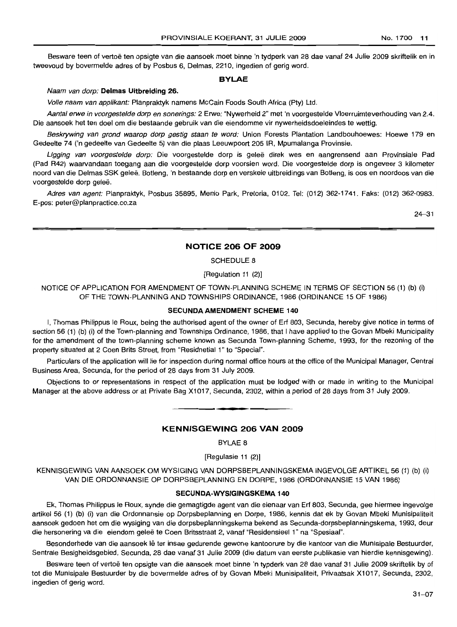Besware teen of vertoe ten opsigte van die aansoek moet binne 'n tydperk van 28 dae vanaf 24 Julie 2009 skriftelik en in tweevoud by bovermelde adres of by Posbus 6, Delmas, 2210, ingedien of gerig word.

# **BYLAE**

## Naam van dorp: **Delmas Uitbreiding** 26.

Volle naam van applikant: Planpraktyk namens McCain Foods South Africa (Pty) Ltd.

Aantal erwe in voorgestelde dorp en sonerings: 2 Erwe: "Nywerheid 2" met 'n voorgestelde Vloerruirnteverhouding van 2.4. Die aansoek het ten doel om die bestaande gebruik van die eiendomme vir nywerheidsdoeleindes te wettig.

Beskrywing van grond waarop dorp gestig staan te word: Union Forests Plantation Landbouhoewes: Hoewe 179 en Gedeelte 74 ('n gedeelte van Gedeelte 5) van die plaas Leeuwpoort 205 IR, Mpumalanga Provinsie.

Ligging van voorgestelde dorp: Die voorgestelde dorp is geleë direk wes en aangrensend aan Provinsiale Pad (Pad R42) waarvandaan toegang aan die voorgestelde dorp voorsien word. Die voorgestelde dorp is ongeveer 3 kilometer noord van die Delmas SSK gelee. Botleng, 'n bestaande dorp en verskeie uitbreidings van Botleng, is oos en noordoos van die voorgestelde dorp geleë.

Adres van agent: Planpraktyk, Posbus 35895, Menlo Park, Pretoria, 0102. Tel: (012) 362-1741. Faks: (012) 362-0983. E-pos: peter@planpractice.co.za

24-31

# **NOTICE 206 OF 2009**

SCHEDULE 8

[Regulation 11 (2)]

NOTICE OF APPLICATION FOR AMENDMENT OF TOWN-PLANNING SCHEME IN TERMS OF SECTION 56 (1) (b) (i) OF THE TOWN-PLANNING AND TOWNSHIPS ORDINANCE, 1986 (ORDINANCE 15 OF 1986)

## **SECUNDA AMENDMENT SCHEME** 140

I, Thomas Philippus Ie Roux, being the authorised agent of the owner of Erf 803, Secunda, hereby give notice in terms of section 56 (1) (b) (i) of the Town-planning and Townships Ordinance, 1986, that I have applied to the Govan Mbeki Municipality for the amendment of the town-planning scheme known as Secunda Town-planning Scheme, 1993, for the rezoning of the property situated at 2 Coen Brits Street, from "Residnetial 1" to "Special".

Particulars of the application will lie for inspection during normal office hours at the office of the Municipal Manager, Central Business Area, Secunda, for the period of 28 days from 31 July 2009.

Objections to or representations in respect of the application must be lodged with or made in writing to the Municipal Manager at the above address or at Private Bag X1017, Secunda, 2302, within a period of 28 days from 31 July 2009 . .**- .**

# **KENNISGEWING 206 VAN 2009**

BYLAE 8

[Regulasie 11 (2)]

KENNISGEWING VAN AANSOEK OM WYSIGING VAN DORPSBEPLANNINGSKEMA INGEVOLGE ARTIKEL 56 (1) (b) (i) VAN DIE ORDONNANSIE OP DORPSBEPLANNING EN DORPE, 1986 (ORDONNANSIE 15 VAN 1986)

## **SECUNDA-WYSIGINGSKEMA** 140

Ek, Thomas Philippus Ie Roux, synde die gemagtigde agent van die eienaar van Erf 803, Secunda, gee hiermee ingevolge artikel 56 (1) (b) (i) van die Ordonnansie op Dorpsbeplanning en Dorpe, 1986, kennis dat ek by Govan Mbeki Munisipaliteit aansoek gedoen het om die wysiging van die dorpsbeplanningskema bekend as Secunda-dorpsbeplanningskema, 1993, deur die hersonering va die eiendom geleë te Coen Britsstraat 2, vanaf "Residensieel 1" na "Spesiaal".

Besonderhede van die aansoek lê ter insae gedurende gewone kantoorure by die kantoor van die Munisipale Bestuurder, Sentrale Besigheidsgebied, Secunda, 28 dae vanaf 31 Julie 2009 (die datum van eerste publikasie van hierdie kennisgewing).

Besware teen of vertoë ten opsigte van die aansoek moet binne 'n typderk van 28 dae vanaf 31 Julie 2009 skriftelik by of tot die Munisipale Bestuurder by die bovermelde adres of by Govan Mbeki Munisipaliteit, Privaatsak X1017, Secunda, 2302, ingedien of gerig word.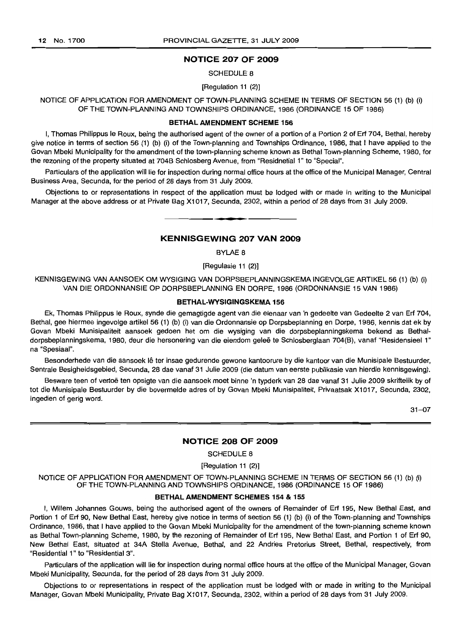# NOTICE 207 OF 2009

#### SCHEDULE 8

[Regulation 11 (2)]

NOTICE OF APPLICATION FOR AMENDMENT OF TOWN-PLANNING SCHEME IN TERMS OF SECTION 56 (1) (b) (i) OF THE TOWN-PLANNING AND TOWNSHIPS ORDINANCE, 1986 (ORDINANCE 15 OF 1986)

### BETHALAMENDMENT SCHEME 156

I, Thomas Philippus Ie Roux, being the authorised agent of the owner of a portion of a Portion 2 of Erf 704, Bethal, hereby give notice in terms of section 56 (1) (b) (i) of the Town-planning and Townships Ordinance, 1986, that I have applied to the Govan Mbeki Municipality for the amendment of the town-planning scheme known as Bethal Town-planning Scheme, 1980, for the rezoning of the property situated at 7048 Schlosberg Avenue, from "Residnetial 1" to "Special".

Particulars of the application will lie for inspection during normal office hours at the office of the Municipal Manager, Central 8usiness Area, Secunda, for the period of 28 days from 31 July 2009.

Objections to or representations in respect of the application must be lodged with or made in writing to the Municipal Manager at the above address or at Private Bag X1017, Secunda, 2302, within a period of 28 days from 31 July 2009. .**-.**

#### KENNISGEWING 207 VAN 2009

BYLAE 8

[Regulasie 11 (2)]

KENNISGEWING VAN AANSOEK OM WYSIGING VAN DORPSBEPLANNINGSKEMA INGEVOLGE ARTIKEL 56 (1) (b) (i) VAN DIE ORDONNANSIE OP DORPSBEPLANNING EN DORPE, 1986 (ORDONNANSIE 15 VAN 1986)

## BETHAL-WYSIGINGSKEMA 156

Ek, Thomas Philippus Ie Roux, synde die gemagtigde agent van die eienaar van 'n gedeelte van Gedeelte 2 van Erf 704, Bethal, gee hiermee ingevolge artikel 56 (1) (b) (i) van die Ordonnansie op Dorpsbeplanning en Dorpe, 1986, kennis dat ek by Govan Mbeki Munisipaliteit aansoek gedoen het om die wysiging van die dorpsbeplanningskema bekend as Bethaldorpsbeplanningskema, 1980, deur die hersonering van die eiendom gelee te Schlosberglaan 704(8), vanaf "Residensieel 1" na "Spesiaal".

Besonderhede van die aansoek lê ter insae gedurende gewone kantoorure by die kantoor van die Munisipale Bestuurder, Sentrale Besigheidsgebied, Secunda, 28 dae vanaf 31 Julie 2009 (die datum van eerste publikasie van hierdie kennisgewing).

Besware teen of vertoe ten opsigte van die aansoek moet binne 'n typderk van 28 dae vanaf 31 Julie 2009 skriftelik by of tot die Munisipale 8estuurder by die bovermelde adres of by Govan Mbeki Munisipaliteit, Privaatsak X1017, Secunda, 2302, ingedien of gerig word.

31-07

#### NOTICE 208 OF 2009

SCHEDULE 8

[Regulation 11 (2)]

NOTICE OF APPLICATION FOR AMENDMENT OF TOWN-PLANNING SCHEME IN TERMS OF SECTION 56 (1) (b) (i) OF THE TOWN-PLANNING AND TOWNSHIPS ORDINANCE, 1986 (ORDINANCE 15 OF 1986)

# BETHALAMENDMENT SCHEMES 154 & 155

I, Willem Johannes Gouws, being the authorised agent of the owners of Remainder of Erf 195, New 8ethal East, and Portion 1 of Erf 90, New Bethal East, hereby give notice in terms of section 56 (1) (b) (i) of the Town-planning and Townships Ordinance, 1986, that I have applied to the Govan Mbeki Municipality for the amendment of the town-planning scheme known as Bethal Town-planning Scheme, 1980, by the rezoning of Remainder of Erf 195, New 8ethal East, and Portion 1 of Erf 90, New Bethal East, situated at 34A Stella Avenue, Bethal, and 22 Andries Pretorius Street, Bethal, respectively, from "Residential 1" to "Residential 3".

Particulars of the application will lie for inspection during normal office hours at the office of the Municipal Manager, Govan Mbeki Municipality, Secunda, for the period of 28 days from 31 July 2009.

Objections to or representations in respect of the application must be lodged with or made in writing to the Municipal Manager, Govan Mbeki Municipality, Private Bag X1017, Secunda, 2302, within a period of 28 days from 31 July 2009.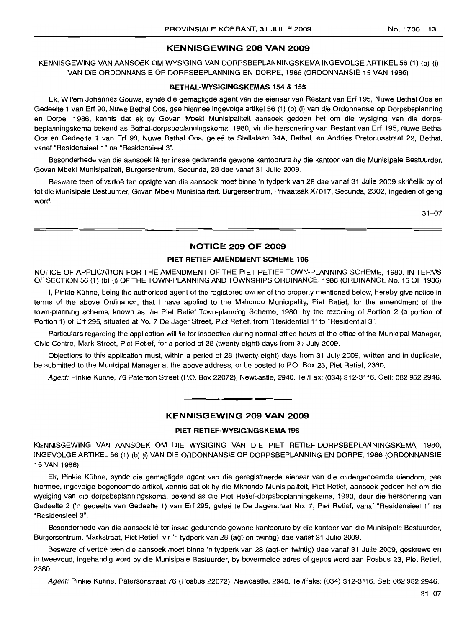# KENNISGEWING 208 VAN 2009

KENNISGEWING VAN AANSOEK OM WYSIGING VAN DORPSBEPLANNINGSKEMA INGEVOLGE ARTIKEL 56 (1) (b) (i) VAN DIE ORDONNANSIE OP DORPSBEPLANNING EN DORPE, 1986 (ORDONNANSIE 15 VAN 1986)

### BETHAL-WYSIGINGSKEMAS 154 & 155

Ek, Willem Johannes Gouws, synde die gemagtigde agent van die eienaar van Restant van Erf 195, Nuwe Bethal 005 en Gedeelte 1 van Erf 90, Nuwe Bethal 005, gee hiermee ingevolge artikel 56 (1) (b) (i) van die Ordonnansie op Dorpsbeplanning en Dorpe, 1986, kennis dat ek by Govan Mbeki Munisipaliteit aansoek gedoen het om die wysiging van die dorpsbeplanningskema bekend as Bethal-dorpsbeplanningskema, 1980, vir die hersonering van Restant van Erf 195, Nuwe Bethal Oos en Gedeelte 1 van Erf 90, Nuwe Bethal Oos, geleë te Stellalaan 34A, Bethal, en Andries Pretoriusstraat 22, Bethal, vanaf "Residensieel 1" na "Residensieel 3".

Besonderhede van die aansoek lê ter insae gedurende gewone kantoorure by die kantoor van die Munisipale Bestuurder, Govan Mbeki Munisipaliteit, Burgersentrum, Secunda, 28 dae vanaf 31 Julie 2009.

Besware teen of vertoë ten opsigte van die aansoek moet binne 'n tydperk van 28 dae vanaf 31 Julie 2009 skriftelik by of tot die Munisipale Bestuurder, Govan Mbeki Munisipaliteit, Burgersentrum, Privaatsak X1017, Secunda, 2302, ingedien of gerig word.

31-07

# NOTICE 209 OF 2009

#### PIET RETIEF AMENDMENT SCHEME 196

NOTICE OF APPLICATION FOR THE AMENDMENT OF THE PIET RETIEF TOWN-PLANNING SCHEME, 1980, IN TERMS OF SECTION 56 (1) (b) (i) OFTHE TOWN-PLANNING AND TOWNSHIPS ORDINANCE, 1986 (ORDINANCE No. 15 OF 1986)

I, Pinkie Kühne, being the authorised agent of the registered owner of the property mentioned below, hereby give notice in terms of the above Ordinance, that I have applied to the Mkhondo Municipality, Piet Retief, for the amendment of the town-planning scheme, known as the Piet Retief Town-planning Scheme, 1980, by the rezoning of Portion 2 (a portion of Portion 1) of Erf 295, situated at No. 7 De Jager Street, Piet Retief, from "Residential 1" to "Residential 3".

Particulars regarding the application will lie for inspection during normal office hours at the office of the Municipal Manager, Civic Centre, Mark Street, Piet Retief, for a period of 28 (twenty eight) days from 31 July 2009.

Objections to this application must, within a period of 28 (twenty-eight) days from 31 July 2009, written and in duplicate, be submitted to the Municipal Manager at the above address, or be posted to P.O. Box 23, Piet Retief, 2380.

Agent: Pinkie Kuhne, 76 Paterson Street (P.O. Box 22072), Newcastle, 2940. Tel/Fax: (034) 312-3116. Cell: 0829522946.

**• •**

# KENNISGEWING 209 VAN 2009

#### PIET RETIEF·WYSIGINGSKEMA 196

KENNISGEWING VAN AANSOEK OM DIE WYSIGING VAN DIE PIET RETIEF-DORPSBEPLANNINGSKEMA, 1980. INGEVOLGE ARTIKEL 56 (1) (b) (I) VAN DIE ORDONNANSIE OP DORPSBEPLANNING EN DORPE, 1986 (ORDONNANSIE 15 VAN 1986)

Ek, Pinkie Kuhne, synde die gemagtigde agent van die geregistreerde eienaar van die ondergemoemde eiendom, gee hiermee, ingevolge bogenoemde artikel, kennis dat ek by die Mkhondo Munlsipaliteit, Piet Retief, aansoek gedoen het om die wysiging van die dorpsbeplanningskema, bekend as die Piet Retief-dorpsbeplanningskema, 1980, deur die hersonering van Gedeelte 2 ('n gedeelte van Gedeelte 1) van Erf 295, geleë te De Jagerstraat No. 7, Piet Retief, vanaf "Residensieel 1" na "ResidensieeI3".

Besonderhede van die aansoek lê ter insae gedurende gewone kantoorure by die kantoor van die Munisipale Bestuurder, Burgersentrum, Markstraat, Piet Retief, vir 'n tydperk van 28 (agt-en-twintig) dae vanaf 31 Julie 2009.

Besware of vertoë teen die aansoek moet binne 'n tydperk van 28 (agt-en-twintig) dae vanaf 31 Julie 2009, geskrewe en in tweevoud, ingehandig word by die Munisipale Bestuurder, by bovermelde adres of gepos word aan Posbus 23, Piet Retief, 2380.

Agent: Pinkie Kuhne, Patersonstraat 76 (Posbus 22072), Newcastle, 2940. Tel/Faks: (034) 312-3116. Sel: 082 952 2946.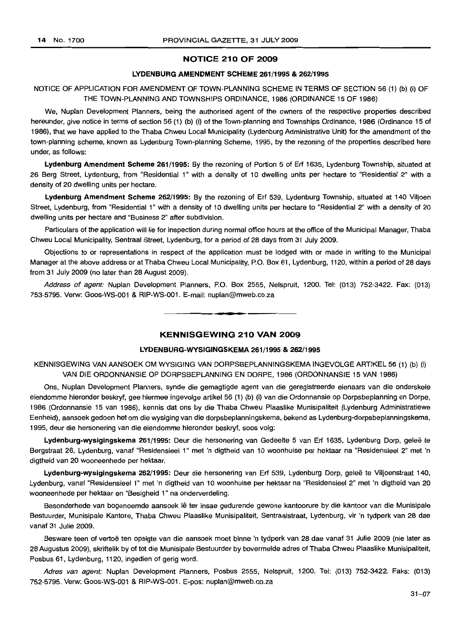# NOTICE 210 OF 2009

# LYDENBURG AMENDMENT SCHEME 261/1995 & 262/1995

# NOTICE OF APPLICATION FOR AMENDMENT OF TOWN-PLANNING SCHEME IN TERMS OF SECTION 56 (1) (b) (i) OF THE TOWN-PLANNING AND TOWNSHIPS ORDINANCE, 1986 (ORDINANCE 15 OF 1986)

We, Nuplan Development Planners, being the authorised agent of the owners of the respective properties described hereunder, give notice in terms of section 56 (1) (b) (i) of the Town-planning and Townships Ordinance, 1986 (Ordinance 15 of 1986), that we have applied to the Thaba Chweu Local Municipality (Lydenburg Administrative Unit) for the amendment of the town-planning scheme, known as Lydenburg Town-planning Scheme, 1995, by the rezoning of the properties described here under, as follows:

Lydenburg Amendment Scheme 261/1995: By the rezoning of Portion 5 of Erf 1635, Lydenburg Township, situated at 26 Berg Street, Lydenburg, from "Residential 1" with a density of 10 dwelling units per hectare to "Residential 2" with a density of 20 dwelling units per hectare.

Lydenburg Amendment Scheme 262/1995: By the rezoning of Erf 539, Lydenburg Township, situated at 140 Viljoen Street, Lydenburg, from "Residential 1" with a density of 10 dwelling units per hectare to "Residential 2" with a density of 20 dwelling units per hectare and "Business 2" after subdivision.

Particulars of the application will lie for inspection during normal office hours at the office of the Municipal Manager, Thaba Chweu Local Municipality, Sentraal Street, Lydenburg, for a period of 28 days from 31 July 2009.

Objections to or representations in respect of the application must be lodged with or made in writing to the Municipal Manager at the above address or at Thaba Chweu Local Municipality, P.O. Box 61, Lydenburg, 1120, within a period of 28 days from 31 July 2009 (no later than 28 August 2009).

Address of agent: Nuplan Development Planners, P.O. Box 2555, Nelspruit, 1200. Tel: (013) 752-3422. Fax: (013) 753-5795. Verw: Goos-WS-001 & RIP-WS-001. E-mail: nuplan@mweb.co.za

# KENNISGEWING 210 VAN 2009

**• •**

# LYDENBURG-WYSIGINGSKEMA 261/1995 & 262/1995

KENNISGEWING VAN AANSOEK OM WYSIGING VAN DORPSBEPLANNINGSKEMA INGEVOLGE ARTIKEL 56 (1) (b) (i) VAN DIE ORDONNANSIE OP DORPSBEPLANNING EN DORPE, 1986 (ORDONNANSIE 15 VAN 1986)

Ons, Nuplan Development Planners, synde die gemagtigde agent van die geregistreerde eienaars van die onderskeie eiendomme hieronder beskryf, gee hiermee ingevolge artikel 56 (1) (b) (i) van die Ordonnansie op Dorpsbeplanning en Dorpe, 1986 (Ordonnansie 15 van 1986), kennis dat ons by die Thaba Chweu Plaaslike Munisipaliteit (Lydenburg Administratiewe Eenheid), aansoek gedoen het om die wysiging van die dorpsbeplanningskema, bekend as Lydenburg-dorpsbeplanningskema, 1995, deur die hersonering van die eiendomme hieronder beskryf, soos volg:

Lydenburg-wysigingskema 261/1995: Deur die hersonering van Gedeelte 5 van Erf 1635, Lydenburg Dorp, geleë te Bergstraat 26, Lydenburg, vanaf "Residensieel 1" met 'n digtheid van 10 woonhuise per hektaar na "Residensieel 2" met 'n digtheid van 20 wooneenhede per hektaar.

Lydenburg-wysigingskema 262/1995: Deur die hersonering van Erf 539, Lydenburg Dorp, gelee te Viljoenstraat 140, Lydenburg, vanaf "Residensieel 1" met 'n digtheid van 10 woonhuise per hektaar na "Residensieel 2" met 'n digtheid van 20 wooneenhede per hektaar en "Besigheid 1" na onderverdeling.

Besonderhede van bogenoemde aansoek lê ter insae gedurende gewone kantoorure by die kantoor van die Munisipale Bestuurder, Munisipale Kantore, Thaba Chweu Plaaslike Munisipaliteit, Sentraalstraat, Lydenburg, vir 'n tydperk van 28 dae vanaf 31 Julie 2009.

Besware teen of vertoë ten opsigte van die aansoek moet binne 'n tydperk van 28 dae vanaf 31 Julie 2009 (nie later as 28 Augustus 2009), skriftelik by of tot die Munisipale Bestuurder by bovermelde adres of Thaba Chweu Plaaslike Munisipaliteit, Posbus 61, Lydenburg, 1120, ingedien of gerig word.

Adres van agent: Nuplan Development Planners, Posbus 2555, Nelspruit, 1200. Tel: (013) 752-3422. Faks: (013) 752-5795. Verw: Goos-WS-001 & RIP-WS-001. E·pos: nuplan@mweb.co.za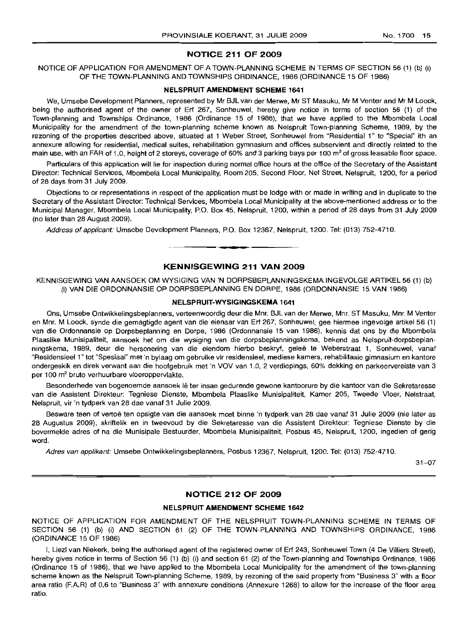# **NOTICE 211 OF 2009**

# NOTICE OF APPLICATION FOR AMENDMENT OF A TOWN-PLANNING SCHEME IN TERMS OF SECTION 56 (1) (b) (i) OF THE TOWN-PLANNING AND TOWNSHIPS ORDINANCE, 1986 (ORDINANCE 15 OF 1986)

#### **NELSPRUIT AMENDMENT SCHEME 1641**

We, Umsebe Development Planners, represented by Mr BJL van der Merwe, Mr ST Masuku, Mr M Venter and Mr M Loock, being the authorised agent of the owner of Erf 267, Sonheuwel, hereby give notice in terms of section 56 (1) of the Town-planning and Townships Ordinance, 1986 (Ordinance 15 of 1986), that we have applied to the Mbombela Local Municipality for the amendment of the town-planning scheme known as Nelspruit Town-planning Scheme, 1989, by the rezoning of the properties described above, situated at 1 Weber Street, Sonheuwel from "Residential 1" to "Special" ith an annexure allowing for residential, medical suites, rehabilitation gymnasium and offices subservient and directly related to the main use, with an FAR of 1.0, height of 2 storeys, coverage of 60% and 3 parking bays per 100 m<sup>2</sup> of gross leasable floor space.

Particulars of this application will lie for inspection during normal office hours at the office of the Secretary of the Assistant Director: Technical Services, Mbombela Local Municipality, Room 205, Second Floor, Nel Street, Nelspruit, 1200, for a period of 28 days from 31 July 2009.

Objections to or representations in respect of the application must be lodge with or made in writing and in duplicate to the Secretary of the Assistant Director: Technical Services, Mbombela Local Municipality at the above-mentioned address or to the Municipal Manager, Mbombela Local Municipality, P.O. Box 45, Nelspruit, 1200, within a period of 28 days from 31 July 2009 (no later than 28 August 2009).

Address of applicant: Umsebe Development Planners, P.O. Box 12367, Nelspruit, 1200. Tel: (013) 752-4710.

# **KENNISGEWING 211 VAN 2009**

KENNISGEWING VAN AANSOEK OM WYSIGING VAN 'N DORPSBEPLANNINGSKEMA INGEVOLGE ARTIKEL 56 (1) (b) (i) VAN DIE ORDONNANSIE OP DORPSBEPLANNING EN DORPE, 1986 (ORDONNANSIE 15 VAN 1986)

# **NELSPRUIT-WYSIGINGSKEMA 1641**

Ons, Umsebe Ontwikkelingsbeplanners, verteenwoordig deur die Mnr. B.IL van der Merwe, Mm. ST Masuku, Mm. M Venter en Mm. M Loock, synde die gemagtigde agent van die eienaar van Erf 267, Sonheuwel, gee hiermee ingevolge artikel 56 (1) van die Ordonnansie op Dorpsbeplanning en Dorpe, 1986 (Ordonnansie 15 van 1986), kennis dat ons by die Mbombela Plaaslike Munisipaliteit, aansoek het om die wysiging van die dorpsbeplanningskema, bekend as Nelspruit-dorpsbeplanningskema, 1989, deur die hersonering van die eiendom hierbo beskryf, gelee te Weberstraat 1, Sonheuwel, vanaf "Residensieel 1" tot "Spesiaal" met 'n bylaag om gebruike vir residensieel, mediese kamers, rehabilitasie gimnasium en kantore ondergeskik en direk verwant aan die hoofgebruik met 'n VOV van 1.0, 2 verdiepings, 60% dekking en parkeervereiste van 3 per 100 m2 bruto verhuurbare vloeroppervlakte.

Besonderhede van bogenoemde aansoek lê ter insae gedurende gewone kantoorure by die kantoor van die Sekretaresse van die Assistent Direkteur: Tegniese Dienste, Mbombela Plaaslike Munisipaliteit, Kamer 205, Tweede Vloer, Nelstraat, Nelspruit, vir 'n tydperk van 28 dae vanaf 31 Julie 2009.

Besware teen of vertoë ten opsigte van die aansoek moet binne 'n tydperk van 28 dae vanaf 31 Julie 2009 (nie later as 28 Augustus 2009), skriftelik en in tweevoud by die Sekretaresse van die Assistent Direkteur: Tegniese Dienste by die bovermelde adres of na die Munisipale Bestuurder, Mbombela Munisipaliteit, Posbus 45, Nelspruit, 1200, ingedien of gerig word.

Adres van applikant: Umsebe Ontwikkelingsbeplanners, Posbus 12367, Nelspruit, 1200. Tel: (013) 752-4710.

31-07

# **NOTICE 212 OF 2009**

#### **NELSPRUIT AMENDMENT SCHEME 1642**

NOTICE OF APPLICATION FOR AMENDMENT OF THE NELSPRUIT TOWN-PLANNING SCHEME IN TERMS OF SECTION 56 (1) (b) (i) AND SECTION 61 (2) OF THE TOWN-PLANNING AND TOWNSHIPS ORDINANCE, 1986 (ORDINANCE 15 OF 1986)

I, Liezl van Niekerk, being the authorised agent of the registered owner of Erf 243, Sonheuwel Town (4 De Villiers Street), hereby gives notice in terms of Section 56 (1) (b) (i) and section 61 (2) of the Town-planning and Townships Ordinance, 1986 (Ordinance 15 of 1986), that we have applied to the Mbombela Local Municipality for the amendment of the town-planning scheme known as the Nelspruit Town-planning Scheme, 1989, by rezoning of the said property from "Business 3" with a floor area ratio (EA.R) of 0,6 to "Business 3" with annexure conditions (Annexure 1268) to allow for the increase of the floor area ratio.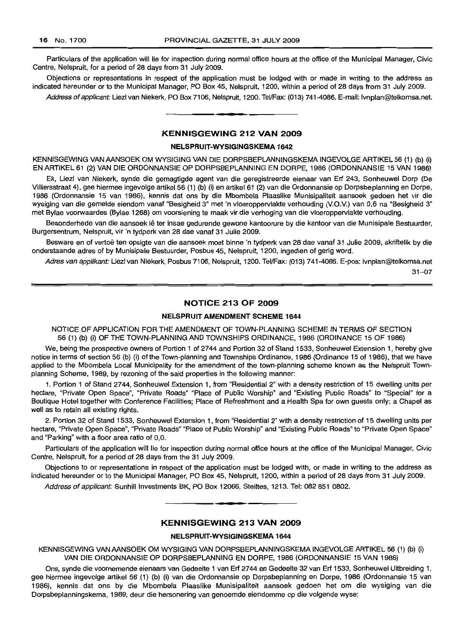Particulars of the application will lie for inspection during normal office hours at the office of the Municipal Manager, Civic Centre, Nelspruit, for a period of 28 days from 31 July 2009.

Objections or representations in respect of the application must be lodged with or made in writing to the address as indicated hereunder or to the Municipal Manager, PO Box 45, Nelspruit, 1200, within a period of 28 days from 31 JUly 2009.

Address ofapplicant: Liezl van Niekerk, PO Box 7106, Nelspruit, 1200. Tel/Fax: (013) 741-4086. E-mail: Ivnplan@telkomsa.net. .**\_.**

# **KENNISGEWING 212 VAN 2009**

# **NELSPRUIT-WYSIGINGSKEMA 1642**

KENNISGEWING VAN AANSOEK OM WYSIGING VAN DIE DORPSBEPLANNINGSKEMA INGEVOLGE ARTIKEL 56 (1) (b) (i) EN ARTIKEL 61 (2) VAN DIE ORDONNANSIE OP DORPSBEPLANNING EN DORPE, 1986 (ORDONNANSIE 15 VAN 1986)

Ek, Liezl van Niekerk, synde die gemagtigde agent van die geregistreerde eienaar van Erf 243, Sonheuwel Dorp (De Villiersstraat 4), gee hiermee ingevolge artikel56 (1) (b) (i) en artikel 61 (2) van die Ordonnansie op Dorpsbeplanning en Dorpe, 1986 (Ordonnansie 15 van 1986), kennis dat ons by die Mbombela Plaaslike Munisipaliteit aansoek gedoen het vir die wysiging van die gemelde eiendom vanaf "Besigheid 3" met 'n vloeroppervlakte verhouding (V.O.v.) van 0,6 na "Besigheid 3" met Bylae voorwaardes (Bylae 1268) om voorsiening te maak vir die verhoging van die vloeroppervlakte verhouding.

Besonderhede van die aansoek lê ter insae gedurende gewone kantoorure by die kantoor van die Munisipale Bestuurder, Burgersentrum, Nelspruit, vir 'n tydperk van 28 dae vanaf 31 Julie 2009.

Besware en of vertoe ten opsigte van die aansoek moet binne 'n tydperk van 28 dae vanaf 31 Julie 2009, skriftelik by die onderstaande adres of by Munisipaie Bestuurder, Posbus 45, Nelspruit, 1200, ingedien of gerig word.

Adres van applikant: Liezl van Niekerk, Posbus 7106, Nelspruit, 1200. Tel/Fax: (013) 741-4086. E-pos: Ivnplan@telkomsa.net

31-07

# **NOTICE 213 OF 2009**

### **NELSPRUIT AMENDMENT SCHEME 1644**

NOTICE OF APPLICATION FOR THE AMENDMENT OF TOWN-PLANNING SCHEME IN TERMS OF SECTION 56 (1) (b) (i) OF THE TOWN-PLANNING AND TOWNSHIPS ORDINANCE, 1986 (ORDINANCE 15 OF 1986)

We, being the prospective owners of Portion 1 of 2744 and Portion 32 of Stand 1533, Sonheuwel Extension 1, hereby give notice in terms of section 56 (b) (i) of the Town-planning and Townships Ordinance, 1986 (Ordinance 15 of 1986), that we have applied to the Mbombela Local Municipality for the amendment of the town-planning scheme known as the Nelspruit Townplanning Scheme, 1989, by rezoning of the said properties in the following manner:

1. Portion 1 of Stand 2744, Sonheuwel Extension 1, from "Residential 2" with a density restriction of 15 dwelling units per hectare, "Private Open Space", "Private Roads" "Place of Public Worship" and "Existing Public Roads" to "Special" for a Boutique Hotel together with Conference Facilities; Place of Refreshment and a Health Spa for own guests only; a Chapel as well as to retain all existing rights.

2. Portion 32 of Stand 1533, Sonheuwel Extension 1, from "Residential 2" with a density restriction of 15 dwelling units per hectare, "Private Open Space", "Private Roads" "Place of Public Worship" and "Existing Public Roads" to "Private Open Space" and "Parking" with a floor area ratio of 0,0.

Particulars of the application will lie for inspection during normal office hours at the office of the Municipal Manager, Civic Centre, Nelspruit, for a period of 28 days from the 31 July 2009.

Objections to or representations in respect of the application must be lodged with, or made in writing to the address as indicated hereunder or to the Municipal Manager, PO Box 45, Nelspruit, 1200, within a period of 28 days from 31 July 2009.

Address of applicant: Sunhill Investments BK, PO Box 12066, Steiltes, 1213. Tel: 082 851 0802.

# **KENNISGEWING 213 VAN 2009**

**•**

## **NELSPRUIT-WYSIGINGSKEMA 1644**

KENNISGEWING VAN AANSOEK OM WYSIGING VAN DORPSBEPLANNINGSKEMA INGEVOLGE ARTIKEL 56 (1) (b) (i) VAN DIE ORDONNANSIE OP DORPSBEPLANNING EN DORPE, 1986 (ORDONNANSIE 15 VAN 1986)

Ons, synde die voornemende eienaars van Gedeelte 1 van Erf 2744 en Gedeelte 32 van Erf 1533, Sonheuwel Uitbreiding 1, gee hiermee ingevolge artikel 56 (1) (b) (i) van die Ordonnansie op Dorpsbeplanning en Dorpe, 1986 (Ordonnansie 15 van 1986), kennis dat ons by die Mbombela Plaaslike Munisipaliteit aansoek gedoen het om die wysiging van die Dorpsbeplanningskema, 1989, deur die hersonering van genoemde eiendomme op die volgende wyse: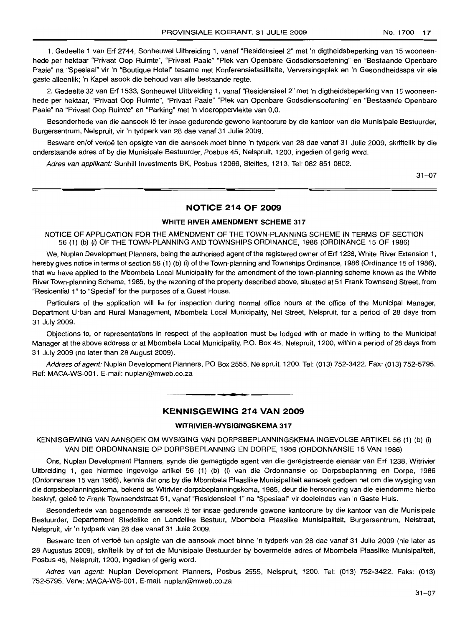1. Gedeelte 1 van Erf 2744, Sonheuwel Uitbreiding 1, vanaf "Residensieel 2" met 'n digtheidsbeperking van 15 wooneenhede per hektaar "Privaat Oop Ruimte", "Privaat Paaie" "Plek van Openbare Godsdiensoefening" en "Bestaande Openbare Paaie" na "Spesiaal" vir 'n "Boutique Hotel" tesame met Konferensiefasiliteite, Verversingsplek en 'n Gesondheidsspa vir eie gaste alleenlik; 'n Kapel asook die behoud van aile bestaande regte.

2. Gedeelte 32 van Erf 1533, Sonheuwel Uitbreiding 1, vanaf "Resldensieel 2" met 'n digtheidsbeperking van 15 wooneenhede per hektaar, "Privaat Oop Ruimte", "Privaat Paaie" "Plek van Openbare Godsdiensoefening" en "Bestaande Openbare Paaie" na "Privaat Oop Ruimte" en "Parking" met 'n vloeroppervlakte van 0,0.

Besonderhede van die aansoek lê ter insae gedurende gewone kantoorure by die kantoor van die Munisipale Bestuurder, Burgersentrum, Nelspruit, vir 'n tydperk van 28 dae vanaf 31 Julie 2009.

Besware en/of vertoë ten opsigte van die aansoek moet binne 'n tydperk van 28 dae vanaf 31 Julie 2009, skriftelik by die onderstaande adres of by die Munisipale Bestuurder, Posbus 45, Nelspruit, 1200, ingedien of gerig word.

Adres van applikant: Sunhill Investments BK, Posbus 12066, Steiltes, 1213. Tel: 082 851 0802.

31-07

# **NOTICE 214 OF 2009**

# **WHITE RIVER AMENDMENT SCHEME** 317

NOTICE OF APPLICATION FOR THE AMENDMENT OF THE TOWN-PLANNING SCHEME IN TERMS OF SECTION 56 (1) (b) (i) OF THE TOWN-PLANNING AND TOWNSHIPS ORDINANCE, 1986 (ORDINANCE 15 OF 1986)

We, Nuplan Development Planners, being the authorised agent of the registered owner of Erf 1238, White River Extension 1, hereby gives notice in terms of section 56 (1) (b) (i) of the Town-planning and Townships Ordinance, 1986 (Ordinance 15 of 1986), that we have applied to the Mbombela Local Municipality for the amendment of the town-planning scheme known as the White River Town-planning Scheme, 1985, by the rezoning of the property described above, situated at 51 Frank Townsend Street, from "Residential 1" to "Special" for the purposes of a Guest House.

Particulars of the application will lie for inspection during normal office hours at the office of the Municipal Manager, Department Urban and Rural Management, Mbombela Local Municipality, Nel Street, Nelspruit, for a period of 28 days from 31 July 2009.

Objections to, or representations in respect of the application must be lodged with or made in writing to the Municipal Manager at the above address or at Mbombela Local Municipality, P.O. Box 45, Nelspruit, 1200, within a period of 28 days from 31 July 2009 (no later than 28 August 2009).

Address of agent: Nuplan Development Planners, PO Box 2555, Nelspruit, 1200. Tel: (013) 752-3422. Fax: (013) 752-5795. Ref: MACA-WS-001. E-mail: nuplan@mweb.co.za

# **KENNISGEWING 214 VAN 2009**

**I •**

# **WITRIVIER-WYSIGINGSKEMA** 317

KENNISGEWING VAN AANSOEK OM WYSIGING VAN DORPSBEPLANNINGSKEMA INGEVOLGE ARTIKEL 56 (1) (b) (i) VAN DIE ORDONNANSIE OP DORPSBEPLANNING EN DORPE, 1986 (ORDONNANSIE 15 VAN 1986)

Ons, Nuplan Development Planners, synde die gemagtigde agent van die geregistreerde eienaar van Erf 1238, Witrivier Uitbreiding 1, gee hiermee ingevolge artikel 56 (1) (b) (i) van die Ordonnansie op Dorpsbeplanning en Dorpe, 1986 (Ordonnansie 15 van 1986), kennis dat ons by die Mbombela Plaaslike Munisipaliteit aansoek gedoen het om die wysiging van die dorpsbeplanningskema, bekend as Witrivier-dorpsbeplanningskema, 1985, deur die hersonering van die eiendomme hierbo beskryf, gelee te Frank Townsendstraat 51, vanaf "Residensieel 1" na "Spesiaal" vir doeleindes van 'n Gaste Huis.

Besonderhede van bogenoemde aansoek lê ter insae gedurende gewone kantoorure by die kantoor van die Munisipale Bestuurder, Departement Stedelike en Landelike Bestuur, Mbombela Plaaslike Munisipaliteit, Burgersentrum, Nelstraat, Nelspruit, vir 'n tydperk van 28 dae vanaf 31 Julie 2009.

Besware teen of vertoë ten opsigte van die aansoek moet binne 'n tydperk van 28 dae vanaf 31 Julie 2009 (nie later as 28 Augustus 2009), skriftelik by of tot die Munisipale Bestuurder by bovermelde adres of Mbombela Plaaslike Munisipaliteit, Posbus 45, Nelspruit, 1200, ingedien of gerig word.

Adres van agent: Nuplan Development Planners, Posbus 2555, Nelspruit, 1200. Tel: (013) 752-3422. Faks: (013) 752-5795. Verw: MACA-WS-001. E-mail: nuplan@mweb.co.za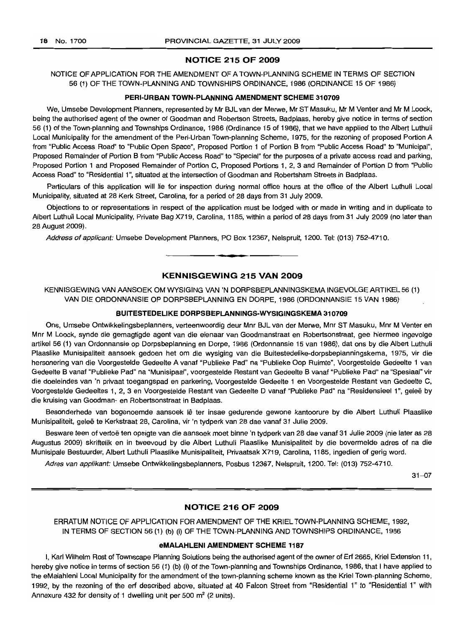# **NOTICE 215 OF 2009**

NOTICE OF APPLICATION FOR THE AMENDMENT OF A TOWN-PLANNING SCHEME IN TERMS OF SECTION 56 (1) OF THE TOWN-PLANNING AND TOWNSHIPS ORDINANCE, 1986 (ORDINANCE 15 OF 1986)

# **PERI-URBAN TOWN-PLANNING AMENDMENT SCHEME 310709**

We, Umsebe Development Planners, represented by Mr BJL van der Merwe, Mr ST Masuku, Mr M Venter and Mr M Loock, being the authorised agent of the owner of Goodman and Robertson Streets, Badplaas, hereby give notice in terms of section 56 (1) of the Town-planning and Townships Ordinance, 1986 (Ordinance 15 of 1986), that we have applied to the Albert Luthuli Local Municipality for the amendment of the Peri-Urban Town-planning Scheme, 1975, for the rezoning of proposed Portion A from "Public Access Road" to "Public Open Space", Proposed Portion 1 of Portion B from "Public Access Road" to "Municipal", Proposed Remainder of Portion B from "Public Access Road" to "Special" for the purposes of a private access road and parking, Proposed Portion 1 and Proposed Remainder of Portion C, Proposed Portions 1, 2, 3 and Remainder of Portion D from "Public Access Road" to "Residential 1", situated at the intersection of Goodman and Robertsham Streets in Badplaas.

Particulars of this application will lie for inspection during normal office hours at the office of the Albert Luthuli Local Municipality, situated at 28 Kerk Street, Carolina, for a period of 28 days from 31 July 2009.

Objections to or representations in respect of the application must be lodged with or made in writing and in duplicate to Albert Luthuli Local Municipality, Private Bag X719, Carolina, 1185, within a period of 28 days from 31 July 2009 (no later than 28 August 2009).

Address of applicant: Umsebe Development Planners, PO Box 12367, Nelspruit, 1200. Tel: (013) 752-4710.

# **KENNISGEWING 215 VAN 2009**

**•**

KENNISGEWING VAN AANSOEK OM WYSIGING VAN 'N DORPSBEPLANNINGSKEMA INGEVOLGE ARTIKEL 56 (1) VAN DIE ORDONNANSIE OP DORPSBEPLANNING EN DORPE, 1986 (ORDONNANSIE 15 VAN 1986)

# **BUITESTEDELIKE DORPSBEPLANNINGS-WYSIGINGSKEMA 310709**

Ons, Umsebe Ontwikkelingsbeplanners, verteenwoordig deur Mnr BJL van der Merwe, Mnr ST Masuku, Mnr M Venter en Mnr M Loock, synde die gemagtigde agent van die eienaar van Goodmanstraat en Robertsonstraat, gee hiermee ingevolge artikel 56 (1) van Ordonnansie op Dorpsbeplanning en Dorpe, 1986 (Ordonnansie 15 van 1986), dat ons by die Albert Luthuli Plaaslike Munisipaliteit aansoek gedoen het om die wysiging van die Buitestedelike-dorpsbeplanningskema, 1975, vir die hersonering van die Voorgestelde Gedeelte A vanaf "Publieke Pad" na "Publieke Oop Ruimte", Voorgestelde Gedeelte 1 van Gedeelte B vanaf "Pub/ieke Pad" na "Munisipaal", voorgestelde Restant van Gedeelte B vanaf "Publieke Pad" na "Spesiaal" vir die doeleindes van 'n privaat toegangspad en parkering, Voorgestelde Gedeelte 1 en Voorgestelde Restant van Gedeelte C, Voorgestelde Gedeeltes 1, 2, 3 en Voorgestelde Restant van Gedeelte D vanaf "Publieke Pad" na "Residensieel 1", gelee by die kruising van Goodman- en Robertsonstraat in Badplaas.

Besonderhede van bogenoemde aansoek lê ter insae gedurende gewone kantoorure by die Albert Luthuli Plaaslike Munisipaliteit, gelee te Kerkstraat 28, Carolina, vir 'n tydperk van 28 dae vanaf 31 Julie 2009.

Besware teen of vertoë ten opsigte van die aansoek moet binne 'n tydperk van 28 dae vanaf 31 Julie 2009 (nie later as 28 Augustus 2009) skriftelik en in tweevoud by die Albert Luthuli Plaaslike Munisipaliteit by die bovermelde adres of na die Munisipale Bestuurder, Albert Luthuli Plaaslike Munisipaliteit, Privaatsak X719, Carolina, 1185, ingedien of gerig word.

Adres van applikant: Umsebe Ontwikkelingsbeplanners, Posbus 12367, Nelspruit, 1200. Tel: (013) 752-4710.

31-07

# **NOTICE 216 OF 2009**

ERRATUM NOTICE OF APPLICATION FOR AMENDMENT OF THE KRIEL TOWN-PLANNING SCHEME, 1992, IN TERMS OF SECTION 56 (1) (b) (i) OF THE TOWN-PLANNING AND TOWNSHIPS ORDINANCE, 1986

#### **eMALAHLENI AMENDMENT SCHEME 1187**

I, Karl Wilhelm Rost of Townscape Planning Solutions being the authorised agent of the owner of Erf 2665, Kriel Extension 11, hereby give notice in terms of section 56 (1) (b) (i) of the Town-planning and Townships Ordinance, 1986, that I have applied to the eMalahleni Local Municipality for the amendment of the town-planning scheme known as the Kriel Town-planning Scheme, 1992, by the rezoning of the erf described above, situated at 40 Falcon Street from "Residential 1" to "Residential 1" with Annexure 432 for density of 1 dwelling unit per 500 m<sup>2</sup> (2 units).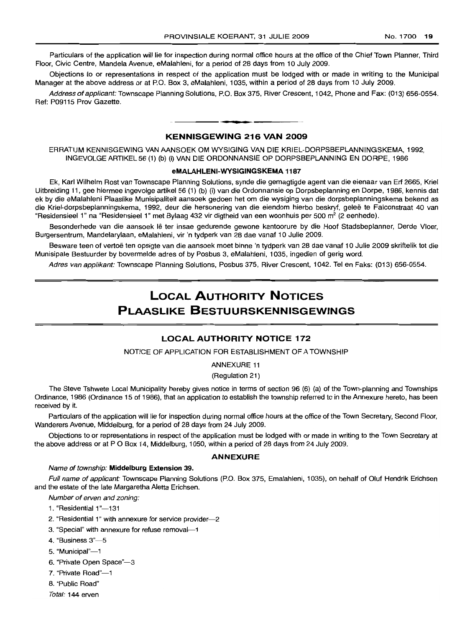Particulars of the application will lie for inspection during normal office hours at the office of the Chief Town Planner, Third Floor, Civic Centre, Mandela Avenue, eMalahleni, for a period of 28 days from 10 July 2009.

Objections to or representations in respect of the application must be lodged with or made in writing to the Municipal Manager at the above address or at P.O. Box 3, eMalahleni, 1035, within a period of 28 days from 10 July 2009.

Address of applicant: Townscape Planning Solutions, P.O. Box 375, River Crescent, 1042, Phone and Fax: (013) 656-0554. Ref: P09115 Prov Gazette.

# **KENNISGEWING 216 VAN 2009**

**• •**

ERRATUM KENNISGEWING VAN AANSOEK OM WYSIGING VAN DIE KRIEL-DORPSBEPLANNINGSKEMA, 1992, INGEVOLGEARTIKEL56 (1) (b) (i) VAN DIE ORDONNANSIE OP DORPSBEPLANNING EN DORPE, 1986

#### **eMALAHLENI-WYSIGINGSKEMA 1187**

Ek, Karl Wilhelm Rost van Townscape Planning Solutions, synde die gemagtigde agent van die eienaar van Erf 2665, Kriel Uitbreiding 11, gee hiermee ingevolge artikel 56 (1) (b) (i) van die Ordonnansie op Dorpsbeplanning en Dorpe, 1986, kennis dat ek by die eMalahleni Plaaslike Munisipaliteit aansoek gedoen het om die wysiging van die dorpsbeplanningskema bekend as die Kriel-dorpsbeplanningskema, 1992, deur die hersonering van die eiendom hierbo beskryf, gelee te Falconstraat 40 van "Residensieel 1" na "Residensieel 1" met Bylaag 432 vir digtheid van een woonhuis per 500 m<sup>2</sup> (2 eenhede).

Besonderhede van die aansoek lê ter insae gedurende gewone kantoorure by die Hoof Stadsbeplanner, Derde Vloer, Burgersentrum, Mandelarylaan, eMalahleni, vir 'n tydperk van 28 dae vanaf 10 Julie 2009.

Besware teen of vertoë ten opsigte van die aansoek moet binne 'n tydperk van 28 dae vanaf 10 Julie 2009 skriftelik tot die Munisipale Bestuurder by bovermelde adres of by Posbus 3, eMalahleni, 1035, ingedien of gerig word.

Adres van applikant: Townscape Planning Solutions, Posbus 375, River Crescent, 1042. Tel en Faks: (013) 656-0554.

# **LOCAL AUTHORITY NOTICES PLAASLIKE BESTUURSKENNISGEWINGS**

# **LOCAL AUTHORITY NOTICE 172**

NOTICE OF APPLICATION FOR ESTABLISHMENT OF A TOWNSHIP

# ANNEXURE 11

(Regulation 21)

The Steve Tshwete Local Municipality hereby gives notice in terms of section 96 (6) (a) of the Town-planning and Townships Ordinance, 1986 (Ordinance 15 of 1986), that an application to establish the township referred to in the Annexure hereto, has been received by it.

Particulars of the application will lie for inspection during normal office hours at the office of the Town Secretary, Second Floor, Wanderers Avenue, Middelburg, for a period of 28 days from 24 July 2009.

Objections to or representations in respect of the application must be lodged with or made in writing to the Town Secretary at the above address or at POBox 14, Middelburg, 1050, within a period of 28 days from 24 July 2009.

## **ANNEXURE**

#### Name of township: **Middelburg Extension** 39.

Full name of applicant: Townscape Planning Solutions (P.O. Box 375, Emalahleni, 1035), on behalf of Oluf Hendrik Erichsen and the estate of the late Margaretha Aletta Erichsen.

Number of erven and zoning:

- 1. "Residential 1"-131
- 2. "Residential 1" with annexure for service provider-2
- 3. "Special" with annexure for refuse removal-1
- 4. "Business 3"-5
- 5. "Municipal"-1
- 6. "Private Open Space"-3
- 7. "Private Road"-1
- 8. "Public Road"
- Total: 144 erven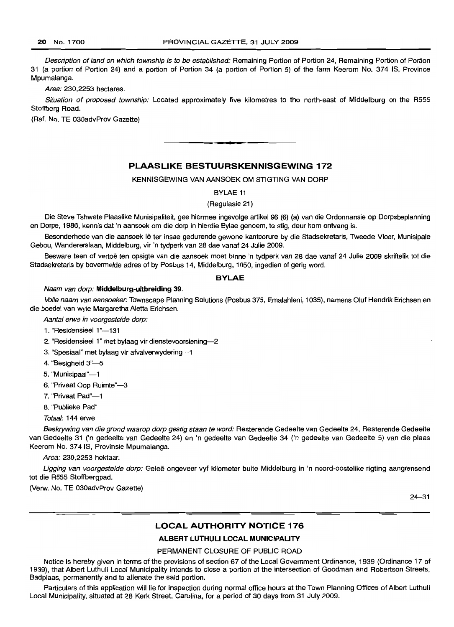Description of land on which township is to be established: Remaining Portion of Portion 24, Remaining Portion of Portion 31 (a portion of Portion 24) and a portion of Portion 34 (a portion of Portion 5) of the farm Keerom No. 374 IS, Province Mpumalanga.

Area: 230,2253 hectares.

Situation of proposed township: Located approximately five kilometres to the north-east of Middelburg on the R555 Stoffberg Road.

(Ref. No. TE 030advProv Gazette)

# **PLAASLIKE BESTUURSKENNISGEWING 172**

**• •**

KENNISGEWING VAN AANSOEK OM STIGTING VAN DORP

BYLAE 11

(Regulasie 21)

Die Steve Tshwete Plaaslike Munisipaliteit, gee hiermee ingevolge artikel 96 (6) (a) van die Ordonnansie op Dorpsbeplanning en Dorpe, 1986, kennis dat 'n aansoek om die dorp in hierdie Bylae genoem, te stig, deur hom ontvang is.

Besonderhede van die aansoek lê ter insae gedurende gewone kantoorure by die Stadsekretaris, Tweede Vloer, Munisipale Gebou, Wandererslaan, Middelburg, vir 'n tydperk van 28 dae vanaf 24 Julie 2009.

Besware teen of vertoe ten opsigte van die aansoek moet binne 'n tydperk van 28 dae vanaf 24 Julie 2009 skriftelik tot die Stadsekretaris by bovermelde adres of by Posbus 14, Middelburg, 1050, ingedien of gerig word.

#### **BYLAE**

#### Naam van dorp: **Middelburg-uitbreiding** 39.

Volle naam van aansoeker: Townscape Planning Solutions (Posbus 375, Emalahleni, 1035), namens Oluf Hendrik Erichsen en die boedel van wyle Margaretha Aletta Erichsen.

Aantal erwe in voorgestelde dorp:

1. "Residensieel 1"-131

- 2. "Residensieel 1" met bylaag vir dienstevoorsiening-2
- 3. "Spesiaal" met bylaag vir afvalverwydering-1
- 4. "Besigheid 3"-5
- 5. "Munisipaal"-1
- 6. "Privaat Oop Ruimte"-3
- 7. "Privaat Pad"-1
- 8. "Publieke Pad"

Totaal: 144 erwe

Beskrywing van die grond waarop dorp gestig staan te word: Resterende Gedeelte van Gedeelte 24, Resterende Gedeelte van Gedeelte 31 ('n gedeelte van Gedeelte 24) en 'n gedeelte van Gedeelte 34 ('n gedeelte van Gedeelte 5) van die plaas Keerom No. 374 IS, Provinsie Mpumalanga.

Area: 230,2253 hektaar.

Ligging van voorgestelde dorp: Geleë ongeveer vyf kilometer buite Middelburg in 'n noord-oostelike rigting aangrensend tot die R555 Stoffbergpad.

(Verw. No. TE 030advProv Gazette)

24-31

## **LOCAL AUTHORITY NOTICE 176**

# **ALBERT LUTHULI LOCAL MUNICIPALITY**

### PERMANENT CLOSURE OF PUBLIC ROAD

Notice is hereby given in terms of the provisions of section 67 of the Local Government Ordinance, 1939 (Ordinance 17 of 1939), that Albert Luthuli Local Municipality intends to close a portion of the intersection of Goodman and Robertson Streets, Badplaas, permanently and to alienate the said portion.

Particulars of this application will lie for inspection during normal office hours at the Town Planning Offices of Albert Luthuli Local Municipality, situated at 28 Kerk Street, Carolina, for a period of 30 days from 31 July 2009.